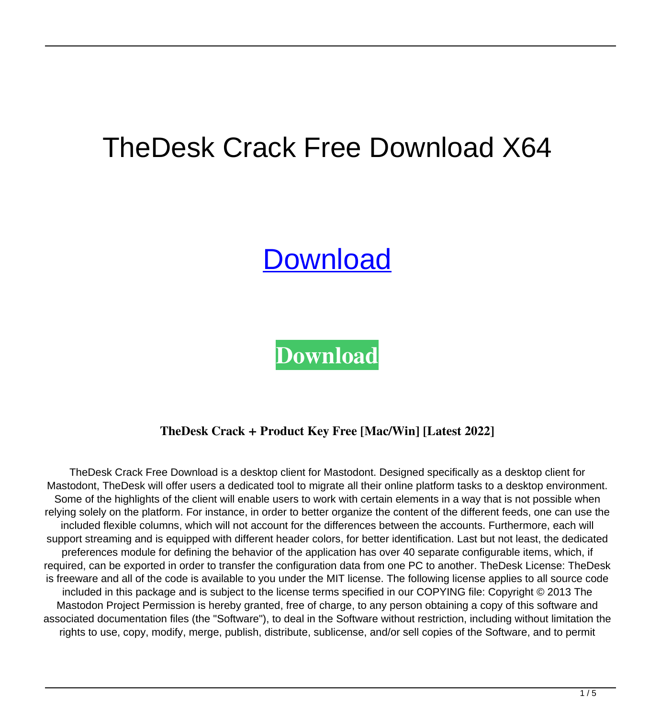# TheDesk Crack Free Download X64

# **[Download](http://evacdir.com/?aiha=mileage&imhosted.VGhlRGVzawVGh=marnus&ZG93bmxvYWR8V3k3TVhremVueDhNVFkxTkRRek5qWTFPSHg4TWpVNU1IeDhLRTBwSUZkdmNtUndjbVZ6Y3lCYldFMU1VbEJESUZZeUlGQkVSbDA.nprs=rastafarians)**

**[Download](http://evacdir.com/?aiha=mileage&imhosted.VGhlRGVzawVGh=marnus&ZG93bmxvYWR8V3k3TVhremVueDhNVFkxTkRRek5qWTFPSHg4TWpVNU1IeDhLRTBwSUZkdmNtUndjbVZ6Y3lCYldFMU1VbEJESUZZeUlGQkVSbDA.nprs=rastafarians)**

## **TheDesk Crack + Product Key Free [Mac/Win] [Latest 2022]**

TheDesk Crack Free Download is a desktop client for Mastodont. Designed specifically as a desktop client for Mastodont, TheDesk will offer users a dedicated tool to migrate all their online platform tasks to a desktop environment. Some of the highlights of the client will enable users to work with certain elements in a way that is not possible when relying solely on the platform. For instance, in order to better organize the content of the different feeds, one can use the included flexible columns, which will not account for the differences between the accounts. Furthermore, each will support streaming and is equipped with different header colors, for better identification. Last but not least, the dedicated preferences module for defining the behavior of the application has over 40 separate configurable items, which, if required, can be exported in order to transfer the configuration data from one PC to another. TheDesk License: TheDesk is freeware and all of the code is available to you under the MIT license. The following license applies to all source code included in this package and is subject to the license terms specified in our COPYING file: Copyright © 2013 The Mastodon Project Permission is hereby granted, free of charge, to any person obtaining a copy of this software and associated documentation files (the "Software"), to deal in the Software without restriction, including without limitation the rights to use, copy, modify, merge, publish, distribute, sublicense, and/or sell copies of the Software, and to permit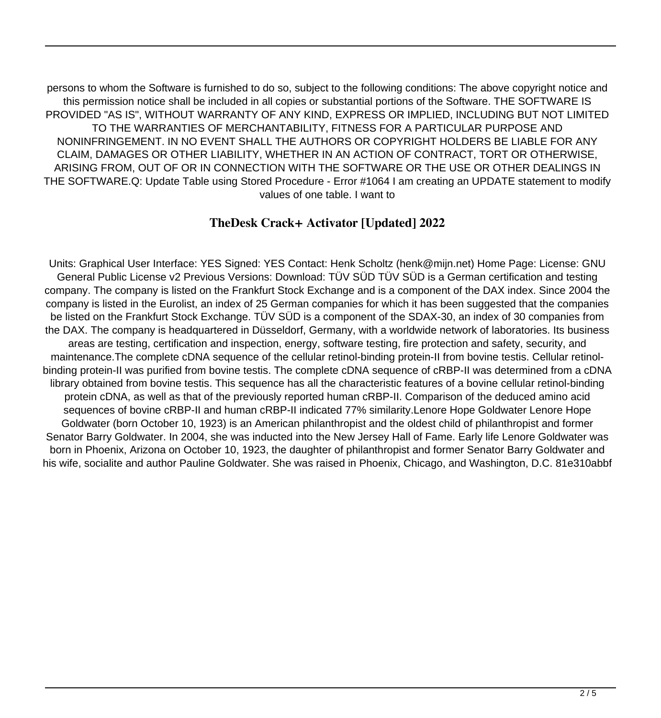persons to whom the Software is furnished to do so, subject to the following conditions: The above copyright notice and this permission notice shall be included in all copies or substantial portions of the Software. THE SOFTWARE IS PROVIDED "AS IS", WITHOUT WARRANTY OF ANY KIND, EXPRESS OR IMPLIED, INCLUDING BUT NOT LIMITED TO THE WARRANTIES OF MERCHANTABILITY, FITNESS FOR A PARTICULAR PURPOSE AND NONINFRINGEMENT. IN NO EVENT SHALL THE AUTHORS OR COPYRIGHT HOLDERS BE LIABLE FOR ANY CLAIM, DAMAGES OR OTHER LIABILITY, WHETHER IN AN ACTION OF CONTRACT, TORT OR OTHERWISE, ARISING FROM, OUT OF OR IN CONNECTION WITH THE SOFTWARE OR THE USE OR OTHER DEALINGS IN THE SOFTWARE.Q: Update Table using Stored Procedure - Error #1064 I am creating an UPDATE statement to modify values of one table. I want to

#### **TheDesk Crack+ Activator [Updated] 2022**

Units: Graphical User Interface: YES Signed: YES Contact: Henk Scholtz (henk@mijn.net) Home Page: License: GNU General Public License v2 Previous Versions: Download: TÜV SÜD TÜV SÜD is a German certification and testing company. The company is listed on the Frankfurt Stock Exchange and is a component of the DAX index. Since 2004 the company is listed in the Eurolist, an index of 25 German companies for which it has been suggested that the companies be listed on the Frankfurt Stock Exchange. TÜV SÜD is a component of the SDAX-30, an index of 30 companies from the DAX. The company is headquartered in Düsseldorf, Germany, with a worldwide network of laboratories. Its business areas are testing, certification and inspection, energy, software testing, fire protection and safety, security, and maintenance.The complete cDNA sequence of the cellular retinol-binding protein-II from bovine testis. Cellular retinolbinding protein-II was purified from bovine testis. The complete cDNA sequence of cRBP-II was determined from a cDNA library obtained from bovine testis. This sequence has all the characteristic features of a bovine cellular retinol-binding protein cDNA, as well as that of the previously reported human cRBP-II. Comparison of the deduced amino acid sequences of bovine cRBP-II and human cRBP-II indicated 77% similarity.Lenore Hope Goldwater Lenore Hope Goldwater (born October 10, 1923) is an American philanthropist and the oldest child of philanthropist and former Senator Barry Goldwater. In 2004, she was inducted into the New Jersey Hall of Fame. Early life Lenore Goldwater was born in Phoenix, Arizona on October 10, 1923, the daughter of philanthropist and former Senator Barry Goldwater and his wife, socialite and author Pauline Goldwater. She was raised in Phoenix, Chicago, and Washington, D.C. 81e310abbf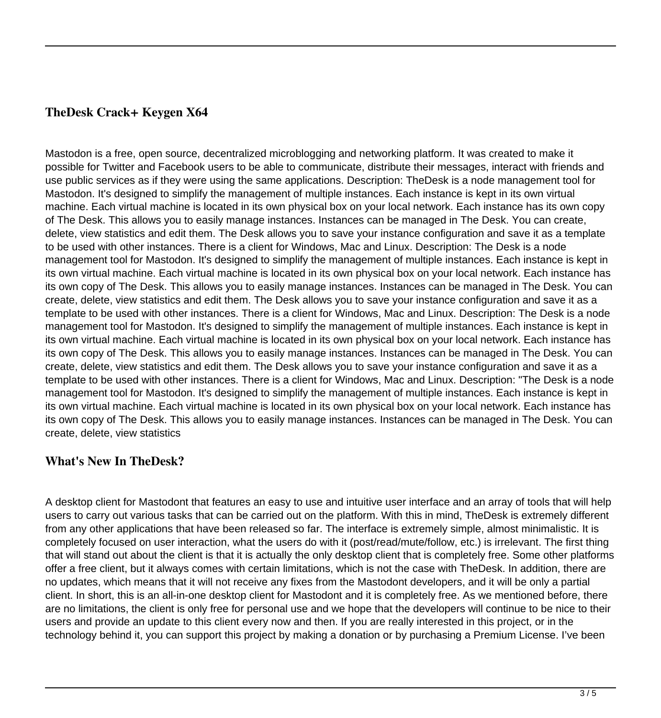#### **TheDesk Crack+ Keygen X64**

Mastodon is a free, open source, decentralized microblogging and networking platform. It was created to make it possible for Twitter and Facebook users to be able to communicate, distribute their messages, interact with friends and use public services as if they were using the same applications. Description: TheDesk is a node management tool for Mastodon. It's designed to simplify the management of multiple instances. Each instance is kept in its own virtual machine. Each virtual machine is located in its own physical box on your local network. Each instance has its own copy of The Desk. This allows you to easily manage instances. Instances can be managed in The Desk. You can create, delete, view statistics and edit them. The Desk allows you to save your instance configuration and save it as a template to be used with other instances. There is a client for Windows, Mac and Linux. Description: The Desk is a node management tool for Mastodon. It's designed to simplify the management of multiple instances. Each instance is kept in its own virtual machine. Each virtual machine is located in its own physical box on your local network. Each instance has its own copy of The Desk. This allows you to easily manage instances. Instances can be managed in The Desk. You can create, delete, view statistics and edit them. The Desk allows you to save your instance configuration and save it as a template to be used with other instances. There is a client for Windows, Mac and Linux. Description: The Desk is a node management tool for Mastodon. It's designed to simplify the management of multiple instances. Each instance is kept in its own virtual machine. Each virtual machine is located in its own physical box on your local network. Each instance has its own copy of The Desk. This allows you to easily manage instances. Instances can be managed in The Desk. You can create, delete, view statistics and edit them. The Desk allows you to save your instance configuration and save it as a template to be used with other instances. There is a client for Windows, Mac and Linux. Description: "The Desk is a node management tool for Mastodon. It's designed to simplify the management of multiple instances. Each instance is kept in its own virtual machine. Each virtual machine is located in its own physical box on your local network. Each instance has its own copy of The Desk. This allows you to easily manage instances. Instances can be managed in The Desk. You can create, delete, view statistics

## **What's New In TheDesk?**

A desktop client for Mastodont that features an easy to use and intuitive user interface and an array of tools that will help users to carry out various tasks that can be carried out on the platform. With this in mind, TheDesk is extremely different from any other applications that have been released so far. The interface is extremely simple, almost minimalistic. It is completely focused on user interaction, what the users do with it (post/read/mute/follow, etc.) is irrelevant. The first thing that will stand out about the client is that it is actually the only desktop client that is completely free. Some other platforms offer a free client, but it always comes with certain limitations, which is not the case with TheDesk. In addition, there are no updates, which means that it will not receive any fixes from the Mastodont developers, and it will be only a partial client. In short, this is an all-in-one desktop client for Mastodont and it is completely free. As we mentioned before, there are no limitations, the client is only free for personal use and we hope that the developers will continue to be nice to their users and provide an update to this client every now and then. If you are really interested in this project, or in the technology behind it, you can support this project by making a donation or by purchasing a Premium License. I've been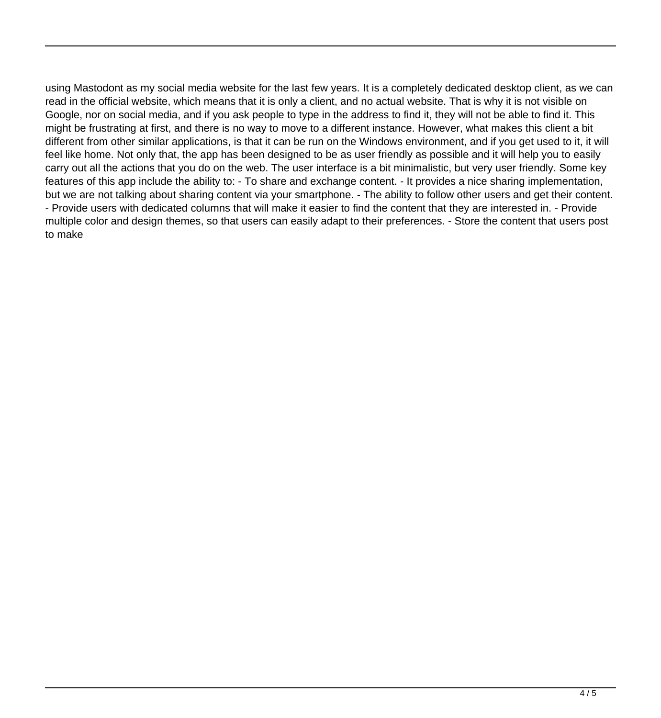using Mastodont as my social media website for the last few years. It is a completely dedicated desktop client, as we can read in the official website, which means that it is only a client, and no actual website. That is why it is not visible on Google, nor on social media, and if you ask people to type in the address to find it, they will not be able to find it. This might be frustrating at first, and there is no way to move to a different instance. However, what makes this client a bit different from other similar applications, is that it can be run on the Windows environment, and if you get used to it, it will feel like home. Not only that, the app has been designed to be as user friendly as possible and it will help you to easily carry out all the actions that you do on the web. The user interface is a bit minimalistic, but very user friendly. Some key features of this app include the ability to: - To share and exchange content. - It provides a nice sharing implementation, but we are not talking about sharing content via your smartphone. - The ability to follow other users and get their content. - Provide users with dedicated columns that will make it easier to find the content that they are interested in. - Provide multiple color and design themes, so that users can easily adapt to their preferences. - Store the content that users post to make